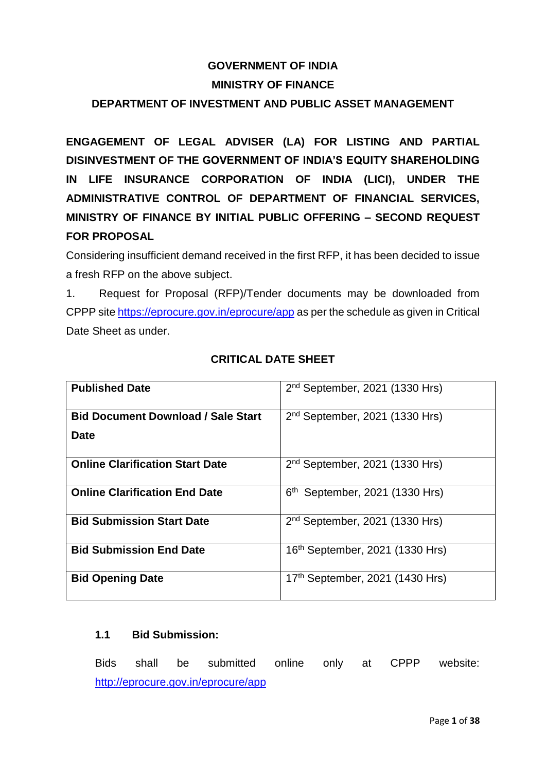# **GOVERNMENT OF INDIA MINISTRY OF FINANCE**

### **DEPARTMENT OF INVESTMENT AND PUBLIC ASSET MANAGEMENT**

**ENGAGEMENT OF LEGAL ADVISER (LA) FOR LISTING AND PARTIAL DISINVESTMENT OF THE GOVERNMENT OF INDIA'S EQUITY SHAREHOLDING IN LIFE INSURANCE CORPORATION OF INDIA (LICI), UNDER THE ADMINISTRATIVE CONTROL OF DEPARTMENT OF FINANCIAL SERVICES, MINISTRY OF FINANCE BY INITIAL PUBLIC OFFERING – SECOND REQUEST FOR PROPOSAL**

Considering insufficient demand received in the first RFP, it has been decided to issue a fresh RFP on the above subject.

1. Request for Proposal (RFP)/Tender documents may be downloaded from CPPP site<https://eprocure.gov.in/eprocure/app> as per the schedule as given in Critical Date Sheet as under.

| <b>Published Date</b>                     | $2nd$ September, 2021 (1330 Hrs)              |  |  |
|-------------------------------------------|-----------------------------------------------|--|--|
| <b>Bid Document Download / Sale Start</b> | $2nd$ September, 2021 (1330 Hrs)              |  |  |
| <b>Date</b>                               |                                               |  |  |
| <b>Online Clarification Start Date</b>    | $2nd$ September, 2021 (1330 Hrs)              |  |  |
| <b>Online Clarification End Date</b>      | 6 <sup>th</sup><br>September, 2021 (1330 Hrs) |  |  |
| <b>Bid Submission Start Date</b>          | $2nd$ September, 2021 (1330 Hrs)              |  |  |
| <b>Bid Submission End Date</b>            | 16th September, 2021 (1330 Hrs)               |  |  |
| <b>Bid Opening Date</b>                   | 17th September, 2021 (1430 Hrs)               |  |  |

## **CRITICAL DATE SHEET**

## **1.1 Bid Submission:**

Bids shall be submitted online only at CPPP website: <http://eprocure.gov.in/eprocure/app>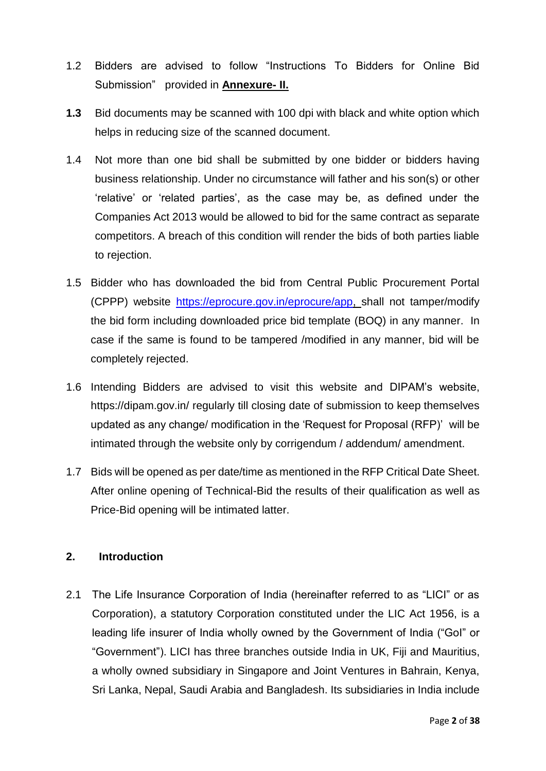- 1.2 Bidders are advised to follow "Instructions To Bidders for Online Bid Submission" provided in **Annexure- II.**
- **1.3** Bid documents may be scanned with 100 dpi with black and white option which helps in reducing size of the scanned document.
- 1.4 Not more than one bid shall be submitted by one bidder or bidders having business relationship. Under no circumstance will father and his son(s) or other 'relative' or 'related parties', as the case may be, as defined under the Companies Act 2013 would be allowed to bid for the same contract as separate competitors. A breach of this condition will render the bids of both parties liable to rejection.
- 1.5 Bidder who has downloaded the bid from Central Public Procurement Portal (CPPP) website [https://eprocure.gov.in/eprocure/app,](https://eprocure.gov.in/eprocure/app) shall not tamper/modify the bid form including downloaded price bid template (BOQ) in any manner. In case if the same is found to be tampered /modified in any manner, bid will be completely rejected.
- 1.6 Intending Bidders are advised to visit this website and DIPAM's website, https://dipam.gov.in/ regularly till closing date of submission to keep themselves updated as any change/ modification in the 'Request for Proposal (RFP)' will be intimated through the website only by corrigendum / addendum/ amendment.
- 1.7 Bids will be opened as per date/time as mentioned in the RFP Critical Date Sheet. After online opening of Technical-Bid the results of their qualification as well as Price-Bid opening will be intimated latter.

#### **2. Introduction**

2.1 The Life Insurance Corporation of India (hereinafter referred to as "LICI" or as Corporation), a statutory Corporation constituted under the LIC Act 1956, is a leading life insurer of India wholly owned by the Government of India ("GoI" or "Government"). LICI has three branches outside India in UK, Fiji and Mauritius, a wholly owned subsidiary in Singapore and Joint Ventures in Bahrain, Kenya, Sri Lanka, Nepal, Saudi Arabia and Bangladesh. Its subsidiaries in India include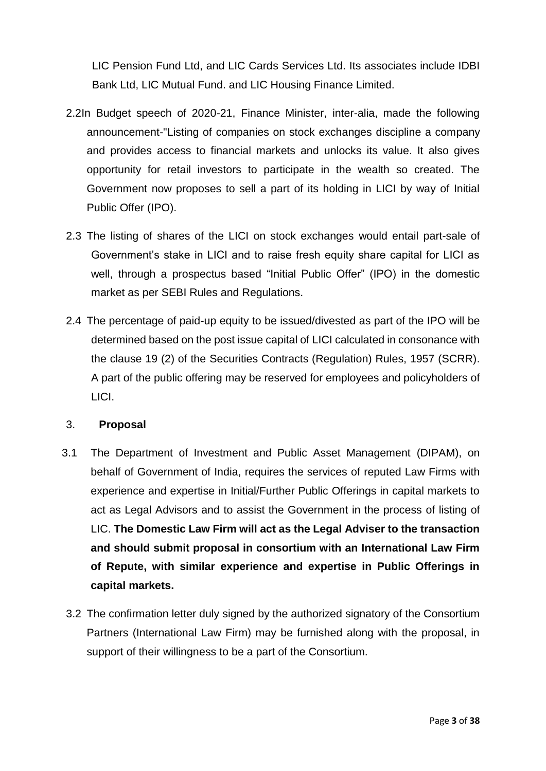LIC Pension Fund Ltd, and LIC Cards Services Ltd. Its associates include IDBI Bank Ltd, LIC Mutual Fund. and LIC Housing Finance Limited.

- 2.2In Budget speech of 2020-21, Finance Minister, inter-alia, made the following announcement-"Listing of companies on stock exchanges discipline a company and provides access to financial markets and unlocks its value. It also gives opportunity for retail investors to participate in the wealth so created. The Government now proposes to sell a part of its holding in LICI by way of Initial Public Offer (IPO).
- 2.3 The listing of shares of the LICI on stock exchanges would entail part-sale of Government's stake in LICI and to raise fresh equity share capital for LICI as well, through a prospectus based "Initial Public Offer" (IPO) in the domestic market as per SEBI Rules and Regulations.
- 2.4 The percentage of paid-up equity to be issued/divested as part of the IPO will be determined based on the post issue capital of LICI calculated in consonance with the clause 19 (2) of the Securities Contracts (Regulation) Rules, 1957 (SCRR). A part of the public offering may be reserved for employees and policyholders of LICI.

#### 3. **Proposal**

- 3.1 The Department of Investment and Public Asset Management (DIPAM), on behalf of Government of India, requires the services of reputed Law Firms with experience and expertise in Initial/Further Public Offerings in capital markets to act as Legal Advisors and to assist the Government in the process of listing of LIC. **The Domestic Law Firm will act as the Legal Adviser to the transaction and should submit proposal in consortium with an International Law Firm of Repute, with similar experience and expertise in Public Offerings in capital markets.**
- 3.2 The confirmation letter duly signed by the authorized signatory of the Consortium Partners (International Law Firm) may be furnished along with the proposal, in support of their willingness to be a part of the Consortium.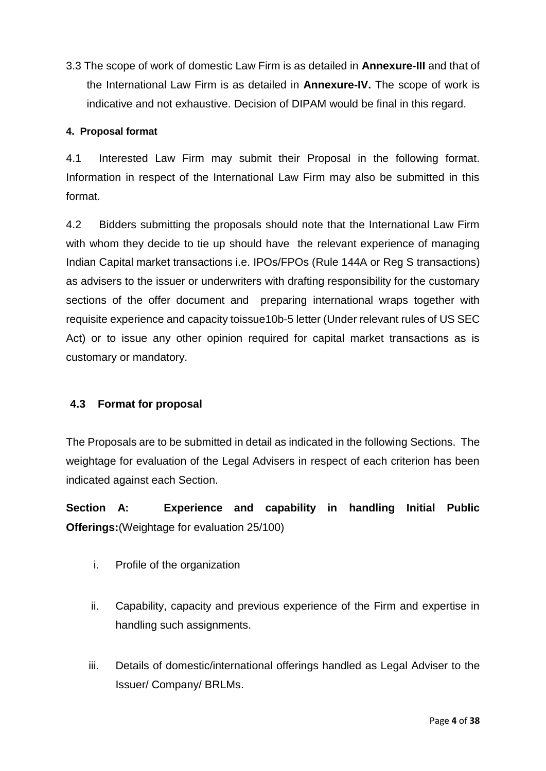3.3 The scope of work of domestic Law Firm is as detailed in **Annexure-III** and that of the International Law Firm is as detailed in **Annexure-IV.** The scope of work is indicative and not exhaustive. Decision of DIPAM would be final in this regard.

### **4. Proposal format**

4.1 Interested Law Firm may submit their Proposal in the following format. Information in respect of the International Law Firm may also be submitted in this format.

4.2 Bidders submitting the proposals should note that the International Law Firm with whom they decide to tie up should have the relevant experience of managing Indian Capital market transactions i.e. IPOs/FPOs (Rule 144A or Reg S transactions) as advisers to the issuer or underwriters with drafting responsibility for the customary sections of the offer document and preparing international wraps together with requisite experience and capacity toissue10b-5 letter (Under relevant rules of US SEC Act) or to issue any other opinion required for capital market transactions as is customary or mandatory.

## **4.3 Format for proposal**

The Proposals are to be submitted in detail as indicated in the following Sections. The weightage for evaluation of the Legal Advisers in respect of each criterion has been indicated against each Section.

**Section A: Experience and capability in handling Initial Public Offerings:**(Weightage for evaluation 25/100)

- i. Profile of the organization
- ii. Capability, capacity and previous experience of the Firm and expertise in handling such assignments.
- iii. Details of domestic/international offerings handled as Legal Adviser to the Issuer/ Company/ BRLMs.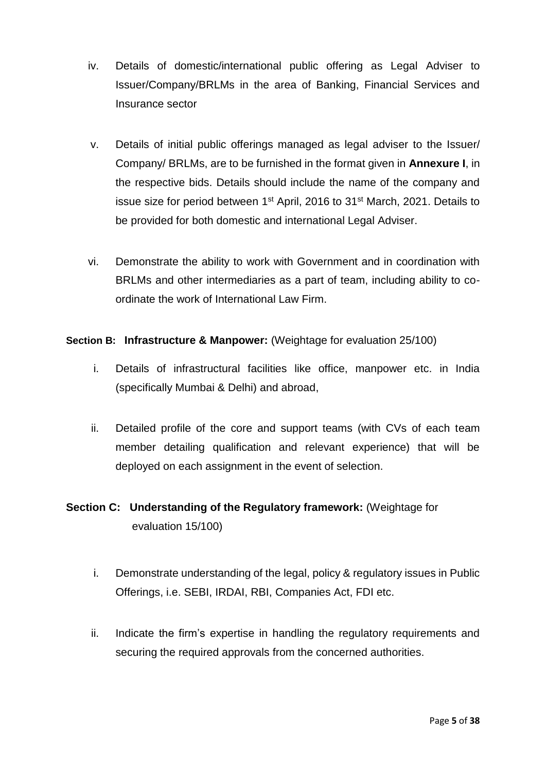- iv. Details of domestic/international public offering as Legal Adviser to Issuer/Company/BRLMs in the area of Banking, Financial Services and Insurance sector
- v. Details of initial public offerings managed as legal adviser to the Issuer/ Company/ BRLMs, are to be furnished in the format given in **Annexure I**, in the respective bids. Details should include the name of the company and issue size for period between 1<sup>st</sup> April, 2016 to 31<sup>st</sup> March, 2021. Details to be provided for both domestic and international Legal Adviser.
- vi. Demonstrate the ability to work with Government and in coordination with BRLMs and other intermediaries as a part of team, including ability to coordinate the work of International Law Firm.

#### **Section B: Infrastructure & Manpower:** (Weightage for evaluation 25/100)

- i. Details of infrastructural facilities like office, manpower etc. in India (specifically Mumbai & Delhi) and abroad,
- ii. Detailed profile of the core and support teams (with CVs of each team member detailing qualification and relevant experience) that will be deployed on each assignment in the event of selection.

## **Section C: Understanding of the Regulatory framework:** *(Weightage for***)** evaluation 15/100)

- i. Demonstrate understanding of the legal, policy & regulatory issues in Public Offerings, i.e. SEBI, IRDAI, RBI, Companies Act, FDI etc.
- ii. Indicate the firm's expertise in handling the regulatory requirements and securing the required approvals from the concerned authorities.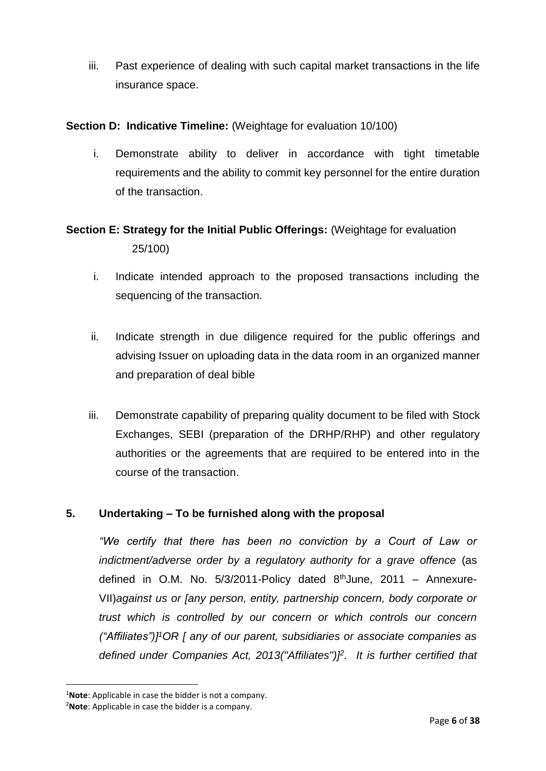iii. Past experience of dealing with such capital market transactions in the life insurance space.

## **Section D: Indicative Timeline:** (Weightage for evaluation 10/100)

i. Demonstrate ability to deliver in accordance with tight timetable requirements and the ability to commit key personnel for the entire duration of the transaction.

## **Section E: Strategy for the Initial Public Offerings:** (Weightage for evaluation 25/100)

- i. Indicate intended approach to the proposed transactions including the sequencing of the transaction.
- ii. Indicate strength in due diligence required for the public offerings and advising Issuer on uploading data in the data room in an organized manner and preparation of deal bible
- iii. Demonstrate capability of preparing quality document to be filed with Stock Exchanges, SEBI (preparation of the DRHP/RHP) and other regulatory authorities or the agreements that are required to be entered into in the course of the transaction.

## **5. Undertaking – To be furnished along with the proposal**

*"We certify that there has been no conviction by a Court of Law or indictment/adverse order by a regulatory authority for a grave offence (as* defined in O.M. No.  $5/3/2011$ -Policy dated  $8<sup>th</sup>$ June, 2011 – Annexure-VII)*against us or [any person, entity, partnership concern, body corporate or trust which is controlled by our concern or which controls our concern ("Affiliates")]<sup>1</sup>OR [ any of our parent, subsidiaries or associate companies as defined under Companies Act, 2013("Affiliates")]<sup>2</sup> . It is further certified that* 

**.** 

<sup>1</sup>**Note**: Applicable in case the bidder is not a company.

<sup>2</sup>**Note**: Applicable in case the bidder is a company.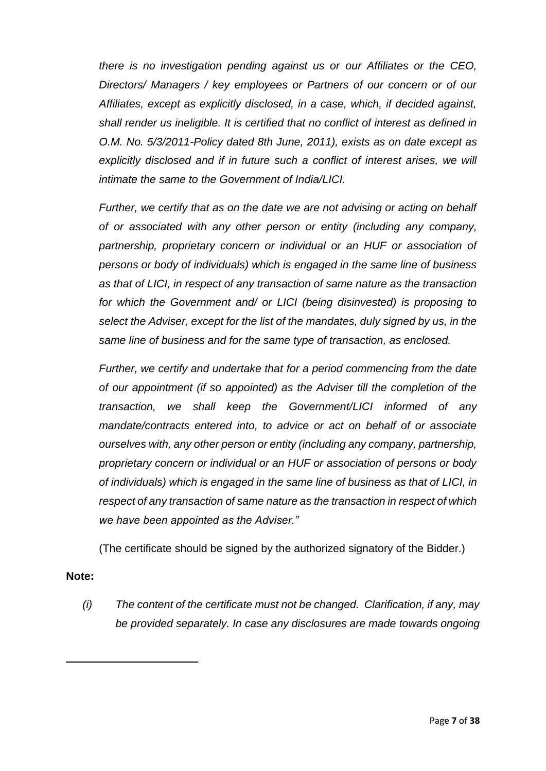*there is no investigation pending against us or our Affiliates or the CEO, Directors/ Managers / key employees or Partners of our concern or of our Affiliates, except as explicitly disclosed, in a case, which, if decided against, shall render us ineligible. It is certified that no conflict of interest as defined in O.M. No. 5/3/2011-Policy dated 8th June, 2011), exists as on date except as explicitly disclosed and if in future such a conflict of interest arises, we will intimate the same to the Government of India/LICI.*

*Further, we certify that as on the date we are not advising or acting on behalf of or associated with any other person or entity (including any company, partnership, proprietary concern or individual or an HUF or association of persons or body of individuals) which is engaged in the same line of business as that of LICI, in respect of any transaction of same nature as the transaction for which the Government and/ or LICI (being disinvested) is proposing to select the Adviser, except for the list of the mandates, duly signed by us, in the same line of business and for the same type of transaction, as enclosed.*

*Further, we certify and undertake that for a period commencing from the date of our appointment (if so appointed) as the Adviser till the completion of the transaction, we shall keep the Government/LICI informed of any mandate/contracts entered into, to advice or act on behalf of or associate ourselves with, any other person or entity (including any company, partnership, proprietary concern or individual or an HUF or association of persons or body of individuals) which is engaged in the same line of business as that of LICI, in respect of any transaction of same nature as the transaction in respect of which we have been appointed as the Adviser."*

(The certificate should be signed by the authorized signatory of the Bidder.)

#### **Note:**

**.** 

*(i) The content of the certificate must not be changed. Clarification, if any, may be provided separately. In case any disclosures are made towards ongoing*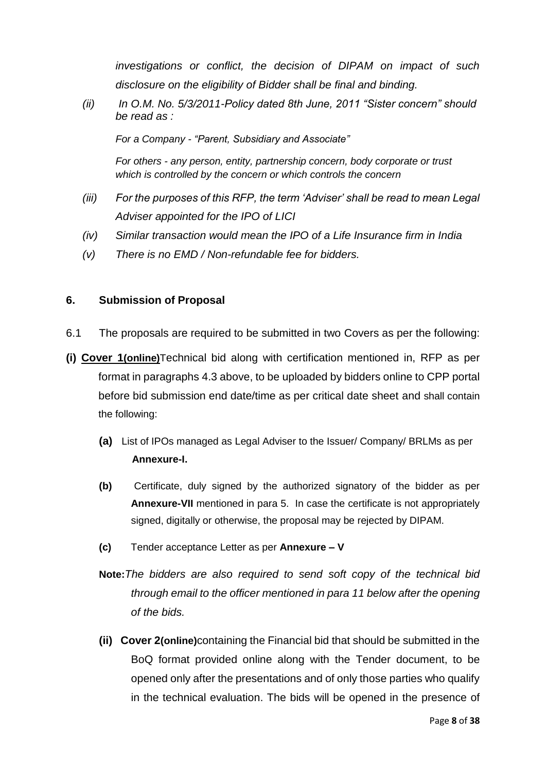*investigations or conflict, the decision of DIPAM on impact of such disclosure on the eligibility of Bidder shall be final and binding.* 

*(ii) In O.M. No. 5/3/2011-Policy dated 8th June, 2011 "Sister concern" should be read as :*

*For a Company - "Parent, Subsidiary and Associate"*

*For others - any person, entity, partnership concern, body corporate or trust which is controlled by the concern or which controls the concern*

- *(iii) For the purposes of this RFP, the term 'Adviser' shall be read to mean Legal Adviser appointed for the IPO of LICI*
- *(iv) Similar transaction would mean the IPO of a Life Insurance firm in India*
- *(v) There is no EMD / Non-refundable fee for bidders.*

#### **6. Submission of Proposal**

- 6.1 The proposals are required to be submitted in two Covers as per the following:
- **(i) Cover 1(online)**Technical bid along with certification mentioned in, RFP as per format in paragraphs 4.3 above, to be uploaded by bidders online to CPP portal before bid submission end date/time as per critical date sheet and shall contain the following:
	- **(a)** List of IPOs managed as Legal Adviser to the Issuer/ Company/ BRLMs as per **Annexure-I.**
	- **(b)** Certificate, duly signed by the authorized signatory of the bidder as per **Annexure-VII** mentioned in para 5. In case the certificate is not appropriately signed, digitally or otherwise, the proposal may be rejected by DIPAM.
	- **(c)** Tender acceptance Letter as per **Annexure – V**
	- **Note:***The bidders are also required to send soft copy of the technical bid through email to the officer mentioned in para 11 below after the opening of the bids.*
	- **(ii) Cover 2(online)**containing the Financial bid that should be submitted in the BoQ format provided online along with the Tender document, to be opened only after the presentations and of only those parties who qualify in the technical evaluation. The bids will be opened in the presence of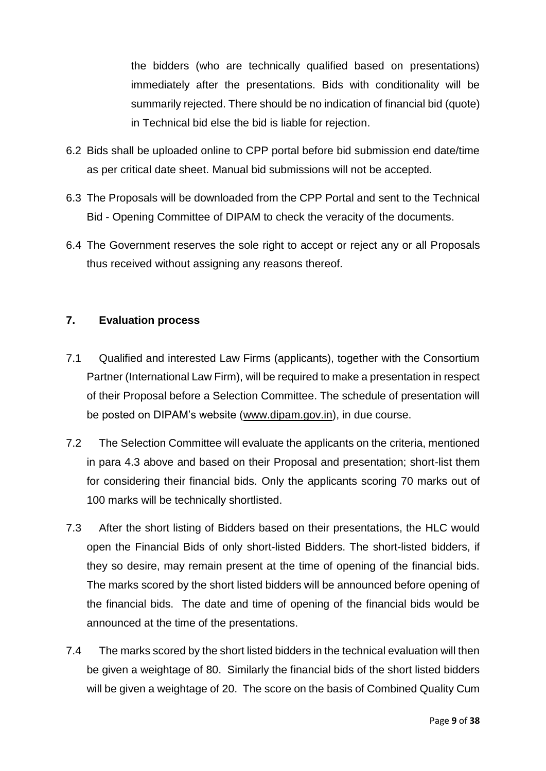the bidders (who are technically qualified based on presentations) immediately after the presentations. Bids with conditionality will be summarily rejected. There should be no indication of financial bid (quote) in Technical bid else the bid is liable for rejection.

- 6.2 Bids shall be uploaded online to CPP portal before bid submission end date/time as per critical date sheet. Manual bid submissions will not be accepted.
- 6.3 The Proposals will be downloaded from the CPP Portal and sent to the Technical Bid - Opening Committee of DIPAM to check the veracity of the documents.
- 6.4 The Government reserves the sole right to accept or reject any or all Proposals thus received without assigning any reasons thereof.

### **7. Evaluation process**

- 7.1 Qualified and interested Law Firms (applicants), together with the Consortium Partner (International Law Firm), will be required to make a presentation in respect of their Proposal before a Selection Committee. The schedule of presentation will be posted on DIPAM's website [\(www.dipam.gov.in\)](http://www.dipam.gov.in/), in due course.
- 7.2 The Selection Committee will evaluate the applicants on the criteria, mentioned in para 4.3 above and based on their Proposal and presentation; short-list them for considering their financial bids. Only the applicants scoring 70 marks out of 100 marks will be technically shortlisted.
- 7.3 After the short listing of Bidders based on their presentations, the HLC would open the Financial Bids of only short-listed Bidders. The short-listed bidders, if they so desire, may remain present at the time of opening of the financial bids. The marks scored by the short listed bidders will be announced before opening of the financial bids. The date and time of opening of the financial bids would be announced at the time of the presentations.
- 7.4 The marks scored by the short listed bidders in the technical evaluation will then be given a weightage of 80. Similarly the financial bids of the short listed bidders will be given a weightage of 20. The score on the basis of Combined Quality Cum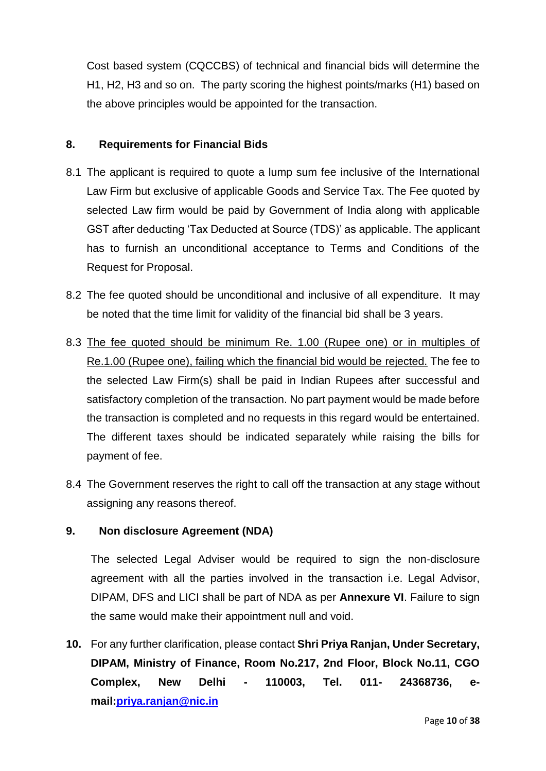Cost based system (CQCCBS) of technical and financial bids will determine the H1, H2, H3 and so on. The party scoring the highest points/marks (H1) based on the above principles would be appointed for the transaction.

## **8. Requirements for Financial Bids**

- 8.1 The applicant is required to quote a lump sum fee inclusive of the International Law Firm but exclusive of applicable Goods and Service Tax. The Fee quoted by selected Law firm would be paid by Government of India along with applicable GST after deducting 'Tax Deducted at Source (TDS)' as applicable. The applicant has to furnish an unconditional acceptance to Terms and Conditions of the Request for Proposal.
- 8.2 The fee quoted should be unconditional and inclusive of all expenditure. It may be noted that the time limit for validity of the financial bid shall be 3 years.
- 8.3 The fee quoted should be minimum Re. 1.00 (Rupee one) or in multiples of Re.1.00 (Rupee one), failing which the financial bid would be rejected. The fee to the selected Law Firm(s) shall be paid in Indian Rupees after successful and satisfactory completion of the transaction. No part payment would be made before the transaction is completed and no requests in this regard would be entertained. The different taxes should be indicated separately while raising the bills for payment of fee.
- 8.4 The Government reserves the right to call off the transaction at any stage without assigning any reasons thereof.

## **9. Non disclosure Agreement (NDA)**

The selected Legal Adviser would be required to sign the non-disclosure agreement with all the parties involved in the transaction i.e. Legal Advisor, DIPAM, DFS and LICI shall be part of NDA as per **Annexure VI**. Failure to sign the same would make their appointment null and void.

**10.** For any further clarification, please contact **Shri Priya Ranjan, Under Secretary, DIPAM, Ministry of Finance, Room No.217, 2nd Floor, Block No.11, CGO Complex, New Delhi - 110003, Tel. 011- 24368736, email[:priya.ranjan@nic.in](mailto:priya.ranjan@nic.in)**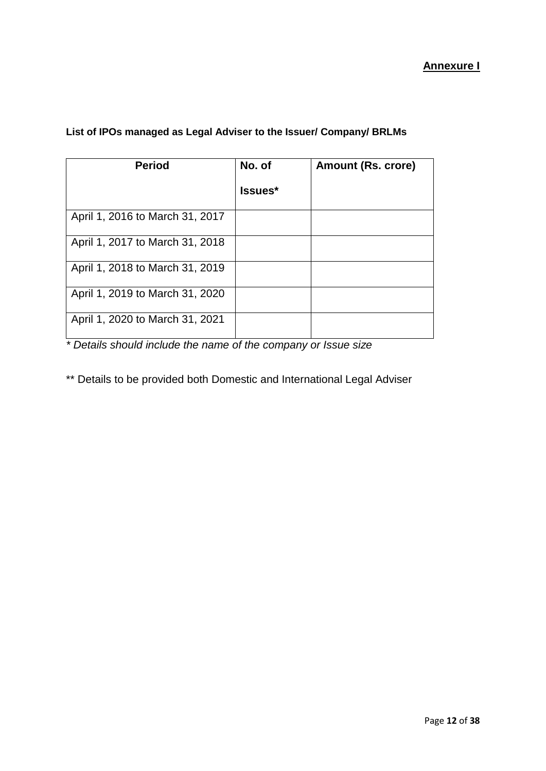| <b>Period</b>                   | No. of  | <b>Amount (Rs. crore)</b> |
|---------------------------------|---------|---------------------------|
|                                 | Issues* |                           |
| April 1, 2016 to March 31, 2017 |         |                           |
| April 1, 2017 to March 31, 2018 |         |                           |
| April 1, 2018 to March 31, 2019 |         |                           |
| April 1, 2019 to March 31, 2020 |         |                           |
| April 1, 2020 to March 31, 2021 |         |                           |

## **List of IPOs managed as Legal Adviser to the Issuer/ Company/ BRLMs**

*\* Details should include the name of the company or Issue size* 

\*\* Details to be provided both Domestic and International Legal Adviser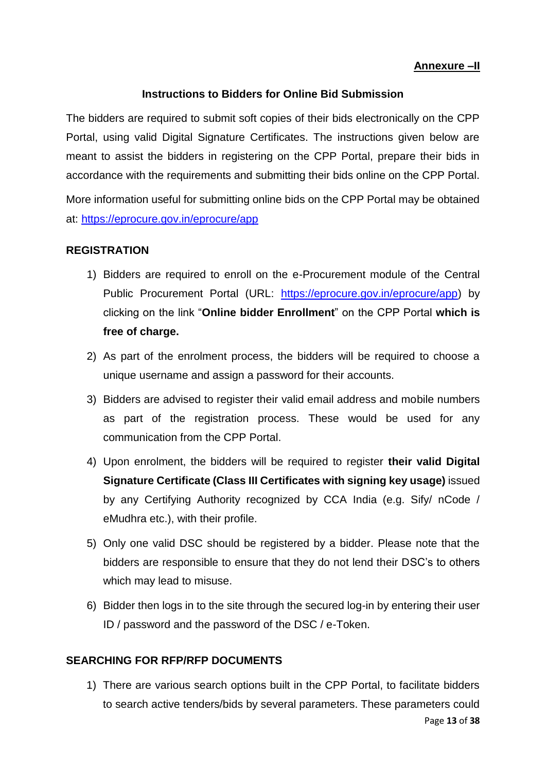#### **Annexure –II**

#### **Instructions to Bidders for Online Bid Submission**

The bidders are required to submit soft copies of their bids electronically on the CPP Portal, using valid Digital Signature Certificates. The instructions given below are meant to assist the bidders in registering on the CPP Portal, prepare their bids in accordance with the requirements and submitting their bids online on the CPP Portal. More information useful for submitting online bids on the CPP Portal may be obtained at:<https://eprocure.gov.in/eprocure/app>

#### **REGISTRATION**

- 1) Bidders are required to enroll on the e-Procurement module of the Central Public Procurement Portal (URL: [https://eprocure.gov.in/eprocure/app\)](https://eprocure.gov.in/eprocure/app) by clicking on the link "**Online bidder Enrollment**" on the CPP Portal **which is free of charge.**
- 2) As part of the enrolment process, the bidders will be required to choose a unique username and assign a password for their accounts.
- 3) Bidders are advised to register their valid email address and mobile numbers as part of the registration process. These would be used for any communication from the CPP Portal.
- 4) Upon enrolment, the bidders will be required to register **their valid Digital Signature Certificate (Class III Certificates with signing key usage)** issued by any Certifying Authority recognized by CCA India (e.g. Sify/ nCode / eMudhra etc.), with their profile.
- 5) Only one valid DSC should be registered by a bidder. Please note that the bidders are responsible to ensure that they do not lend their DSC's to others which may lead to misuse.
- 6) Bidder then logs in to the site through the secured log-in by entering their user ID / password and the password of the DSC / e-Token.

#### **SEARCHING FOR RFP/RFP DOCUMENTS**

Page **13** of **38** 1) There are various search options built in the CPP Portal, to facilitate bidders to search active tenders/bids by several parameters. These parameters could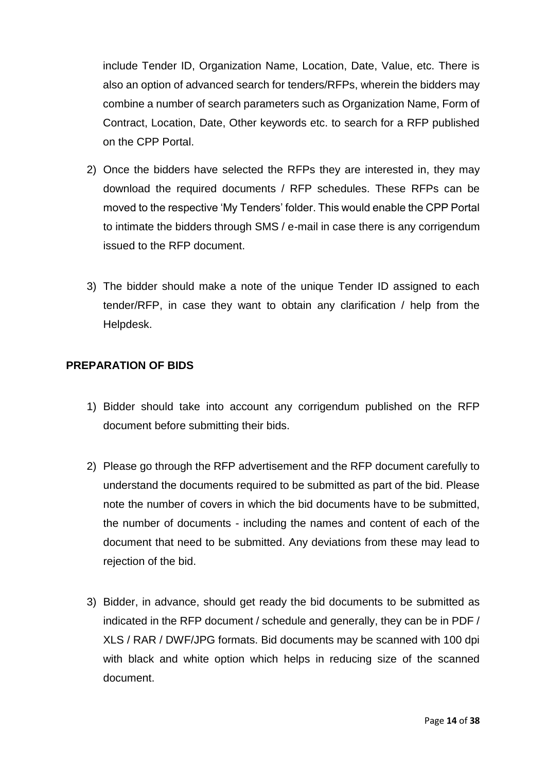include Tender ID, Organization Name, Location, Date, Value, etc. There is also an option of advanced search for tenders/RFPs, wherein the bidders may combine a number of search parameters such as Organization Name, Form of Contract, Location, Date, Other keywords etc. to search for a RFP published on the CPP Portal.

- 2) Once the bidders have selected the RFPs they are interested in, they may download the required documents / RFP schedules. These RFPs can be moved to the respective 'My Tenders' folder. This would enable the CPP Portal to intimate the bidders through SMS / e-mail in case there is any corrigendum issued to the RFP document.
- 3) The bidder should make a note of the unique Tender ID assigned to each tender/RFP, in case they want to obtain any clarification / help from the Helpdesk.

### **PREPARATION OF BIDS**

- 1) Bidder should take into account any corrigendum published on the RFP document before submitting their bids.
- 2) Please go through the RFP advertisement and the RFP document carefully to understand the documents required to be submitted as part of the bid. Please note the number of covers in which the bid documents have to be submitted, the number of documents - including the names and content of each of the document that need to be submitted. Any deviations from these may lead to rejection of the bid.
- 3) Bidder, in advance, should get ready the bid documents to be submitted as indicated in the RFP document / schedule and generally, they can be in PDF / XLS / RAR / DWF/JPG formats. Bid documents may be scanned with 100 dpi with black and white option which helps in reducing size of the scanned document.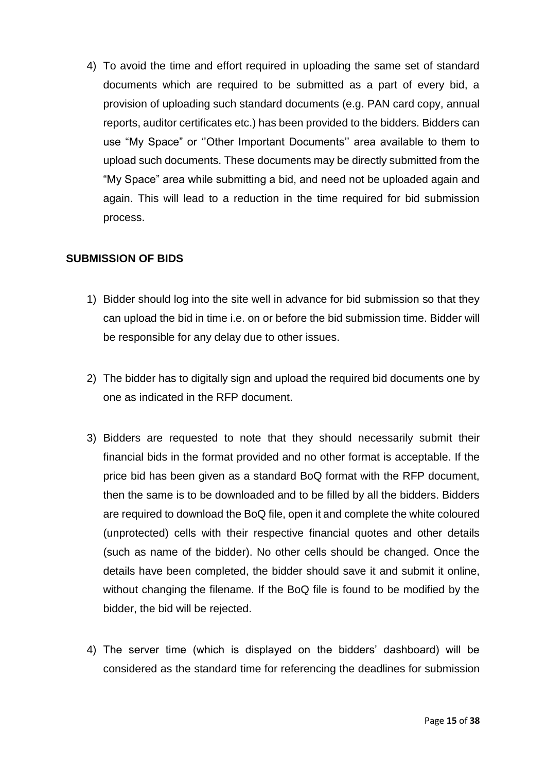4) To avoid the time and effort required in uploading the same set of standard documents which are required to be submitted as a part of every bid, a provision of uploading such standard documents (e.g. PAN card copy, annual reports, auditor certificates etc.) has been provided to the bidders. Bidders can use "My Space" or ''Other Important Documents'' area available to them to upload such documents. These documents may be directly submitted from the "My Space" area while submitting a bid, and need not be uploaded again and again. This will lead to a reduction in the time required for bid submission process.

#### **SUBMISSION OF BIDS**

- 1) Bidder should log into the site well in advance for bid submission so that they can upload the bid in time i.e. on or before the bid submission time. Bidder will be responsible for any delay due to other issues.
- 2) The bidder has to digitally sign and upload the required bid documents one by one as indicated in the RFP document.
- 3) Bidders are requested to note that they should necessarily submit their financial bids in the format provided and no other format is acceptable. If the price bid has been given as a standard BoQ format with the RFP document, then the same is to be downloaded and to be filled by all the bidders. Bidders are required to download the BoQ file, open it and complete the white coloured (unprotected) cells with their respective financial quotes and other details (such as name of the bidder). No other cells should be changed. Once the details have been completed, the bidder should save it and submit it online, without changing the filename. If the BoQ file is found to be modified by the bidder, the bid will be rejected.
- 4) The server time (which is displayed on the bidders' dashboard) will be considered as the standard time for referencing the deadlines for submission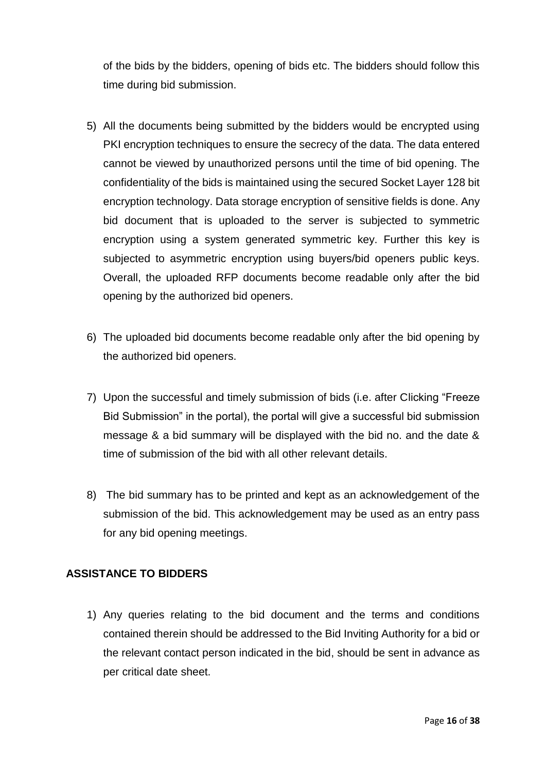of the bids by the bidders, opening of bids etc. The bidders should follow this time during bid submission.

- 5) All the documents being submitted by the bidders would be encrypted using PKI encryption techniques to ensure the secrecy of the data. The data entered cannot be viewed by unauthorized persons until the time of bid opening. The confidentiality of the bids is maintained using the secured Socket Layer 128 bit encryption technology. Data storage encryption of sensitive fields is done. Any bid document that is uploaded to the server is subjected to symmetric encryption using a system generated symmetric key. Further this key is subjected to asymmetric encryption using buyers/bid openers public keys. Overall, the uploaded RFP documents become readable only after the bid opening by the authorized bid openers.
- 6) The uploaded bid documents become readable only after the bid opening by the authorized bid openers.
- 7) Upon the successful and timely submission of bids (i.e. after Clicking "Freeze Bid Submission" in the portal), the portal will give a successful bid submission message & a bid summary will be displayed with the bid no. and the date & time of submission of the bid with all other relevant details.
- 8) The bid summary has to be printed and kept as an acknowledgement of the submission of the bid. This acknowledgement may be used as an entry pass for any bid opening meetings.

#### **ASSISTANCE TO BIDDERS**

1) Any queries relating to the bid document and the terms and conditions contained therein should be addressed to the Bid Inviting Authority for a bid or the relevant contact person indicated in the bid, should be sent in advance as per critical date sheet.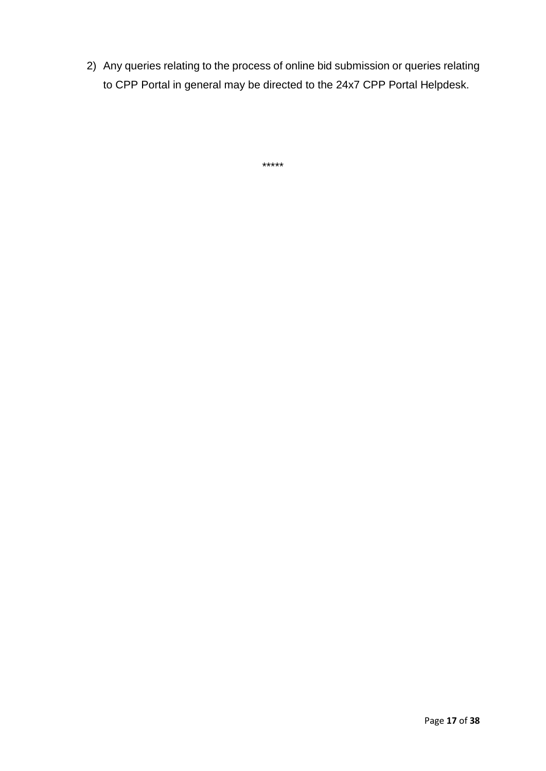2) Any queries relating to the process of online bid submission or queries relating to CPP Portal in general may be directed to the 24x7 CPP Portal Helpdesk.

```
*****
```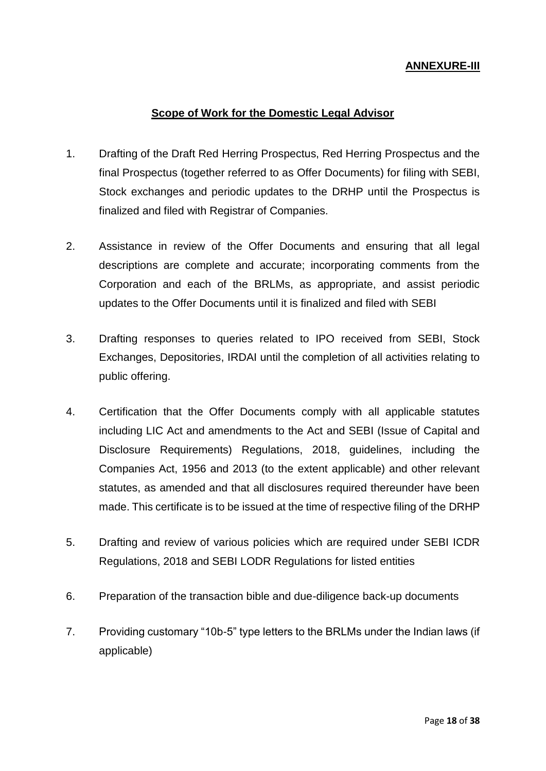#### **ANNEXURE-III**

#### **Scope of Work for the Domestic Legal Advisor**

- 1. Drafting of the Draft Red Herring Prospectus, Red Herring Prospectus and the final Prospectus (together referred to as Offer Documents) for filing with SEBI, Stock exchanges and periodic updates to the DRHP until the Prospectus is finalized and filed with Registrar of Companies.
- 2. Assistance in review of the Offer Documents and ensuring that all legal descriptions are complete and accurate; incorporating comments from the Corporation and each of the BRLMs, as appropriate, and assist periodic updates to the Offer Documents until it is finalized and filed with SEBI
- 3. Drafting responses to queries related to IPO received from SEBI, Stock Exchanges, Depositories, IRDAI until the completion of all activities relating to public offering.
- 4. Certification that the Offer Documents comply with all applicable statutes including LIC Act and amendments to the Act and SEBI (Issue of Capital and Disclosure Requirements) Regulations, 2018, guidelines, including the Companies Act, 1956 and 2013 (to the extent applicable) and other relevant statutes, as amended and that all disclosures required thereunder have been made. This certificate is to be issued at the time of respective filing of the DRHP
- 5. Drafting and review of various policies which are required under SEBI ICDR Regulations, 2018 and SEBI LODR Regulations for listed entities
- 6. Preparation of the transaction bible and due-diligence back-up documents
- 7. Providing customary "10b-5" type letters to the BRLMs under the Indian laws (if applicable)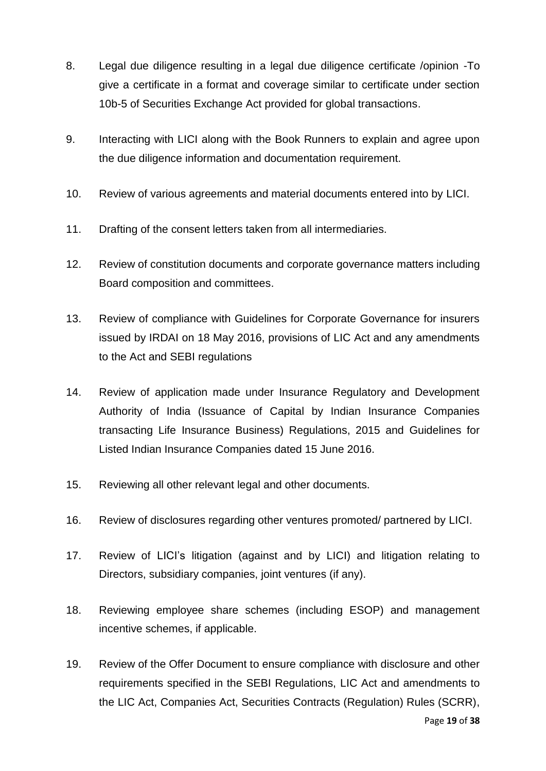- 8. Legal due diligence resulting in a legal due diligence certificate /opinion -To give a certificate in a format and coverage similar to certificate under section 10b-5 of Securities Exchange Act provided for global transactions.
- 9. Interacting with LICI along with the Book Runners to explain and agree upon the due diligence information and documentation requirement.
- 10. Review of various agreements and material documents entered into by LICI.
- 11. Drafting of the consent letters taken from all intermediaries.
- 12. Review of constitution documents and corporate governance matters including Board composition and committees.
- 13. Review of compliance with Guidelines for Corporate Governance for insurers issued by IRDAI on 18 May 2016, provisions of LIC Act and any amendments to the Act and SEBI regulations
- 14. Review of application made under Insurance Regulatory and Development Authority of India (Issuance of Capital by Indian Insurance Companies transacting Life Insurance Business) Regulations, 2015 and Guidelines for Listed Indian Insurance Companies dated 15 June 2016.
- 15. Reviewing all other relevant legal and other documents.
- 16. Review of disclosures regarding other ventures promoted/ partnered by LICI.
- 17. Review of LICI's litigation (against and by LICI) and litigation relating to Directors, subsidiary companies, joint ventures (if any).
- 18. Reviewing employee share schemes (including ESOP) and management incentive schemes, if applicable.
- 19. Review of the Offer Document to ensure compliance with disclosure and other requirements specified in the SEBI Regulations, LIC Act and amendments to the LIC Act, Companies Act, Securities Contracts (Regulation) Rules (SCRR),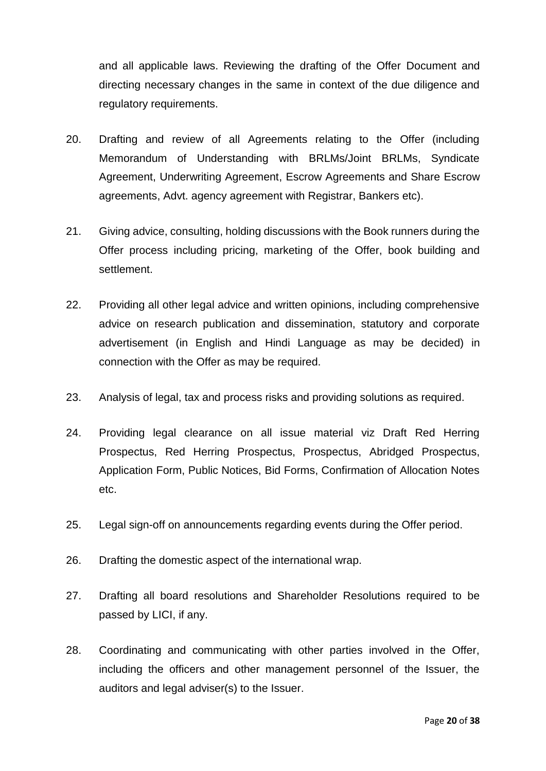and all applicable laws. Reviewing the drafting of the Offer Document and directing necessary changes in the same in context of the due diligence and regulatory requirements.

- 20. Drafting and review of all Agreements relating to the Offer (including Memorandum of Understanding with BRLMs/Joint BRLMs, Syndicate Agreement, Underwriting Agreement, Escrow Agreements and Share Escrow agreements, Advt. agency agreement with Registrar, Bankers etc).
- 21. Giving advice, consulting, holding discussions with the Book runners during the Offer process including pricing, marketing of the Offer, book building and settlement.
- 22. Providing all other legal advice and written opinions, including comprehensive advice on research publication and dissemination, statutory and corporate advertisement (in English and Hindi Language as may be decided) in connection with the Offer as may be required.
- 23. Analysis of legal, tax and process risks and providing solutions as required.
- 24. Providing legal clearance on all issue material viz Draft Red Herring Prospectus, Red Herring Prospectus, Prospectus, Abridged Prospectus, Application Form, Public Notices, Bid Forms, Confirmation of Allocation Notes etc.
- 25. Legal sign-off on announcements regarding events during the Offer period.
- 26. Drafting the domestic aspect of the international wrap.
- 27. Drafting all board resolutions and Shareholder Resolutions required to be passed by LICI, if any.
- 28. Coordinating and communicating with other parties involved in the Offer, including the officers and other management personnel of the Issuer, the auditors and legal adviser(s) to the Issuer.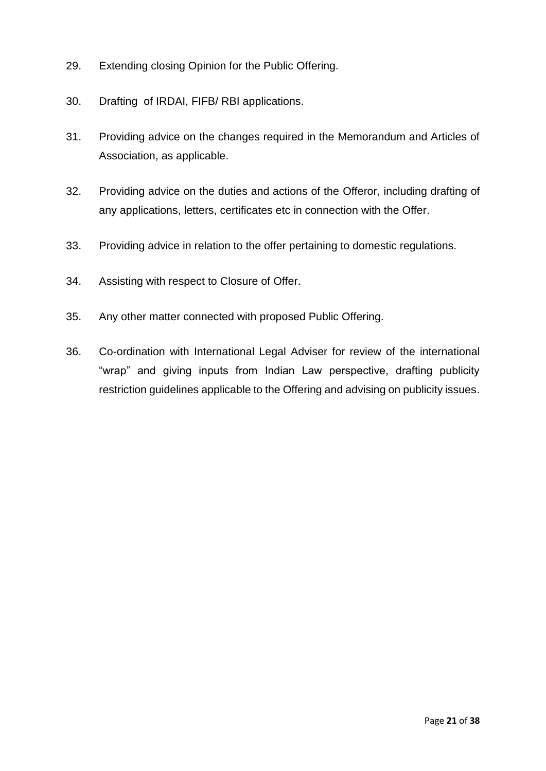- 29. Extending closing Opinion for the Public Offering.
- 30. Drafting of IRDAI, FIFB/ RBI applications.
- 31. Providing advice on the changes required in the Memorandum and Articles of Association, as applicable.
- 32. Providing advice on the duties and actions of the Offeror, including drafting of any applications, letters, certificates etc in connection with the Offer.
- 33. Providing advice in relation to the offer pertaining to domestic regulations.
- 34. Assisting with respect to Closure of Offer.
- 35. Any other matter connected with proposed Public Offering.
- 36. Co-ordination with International Legal Adviser for review of the international "wrap" and giving inputs from Indian Law perspective, drafting publicity restriction guidelines applicable to the Offering and advising on publicity issues.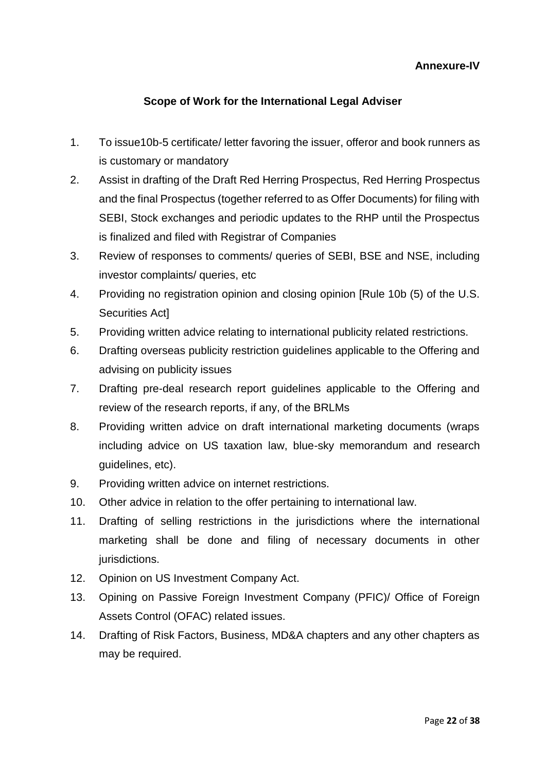#### **Annexure-IV**

### **Scope of Work for the International Legal Adviser**

- 1. To issue10b-5 certificate/ letter favoring the issuer, offeror and book runners as is customary or mandatory
- 2. Assist in drafting of the Draft Red Herring Prospectus, Red Herring Prospectus and the final Prospectus (together referred to as Offer Documents) for filing with SEBI, Stock exchanges and periodic updates to the RHP until the Prospectus is finalized and filed with Registrar of Companies
- 3. Review of responses to comments/ queries of SEBI, BSE and NSE, including investor complaints/ queries, etc
- 4. Providing no registration opinion and closing opinion [Rule 10b (5) of the U.S. Securities Act]
- 5. Providing written advice relating to international publicity related restrictions.
- 6. Drafting overseas publicity restriction guidelines applicable to the Offering and advising on publicity issues
- 7. Drafting pre-deal research report guidelines applicable to the Offering and review of the research reports, if any, of the BRLMs
- 8. Providing written advice on draft international marketing documents (wraps including advice on US taxation law, blue-sky memorandum and research guidelines, etc).
- 9. Providing written advice on internet restrictions.
- 10. Other advice in relation to the offer pertaining to international law.
- 11. Drafting of selling restrictions in the jurisdictions where the international marketing shall be done and filing of necessary documents in other jurisdictions.
- 12. Opinion on US Investment Company Act.
- 13. Opining on Passive Foreign Investment Company (PFIC)/ Office of Foreign Assets Control (OFAC) related issues.
- 14. Drafting of Risk Factors, Business, MD&A chapters and any other chapters as may be required.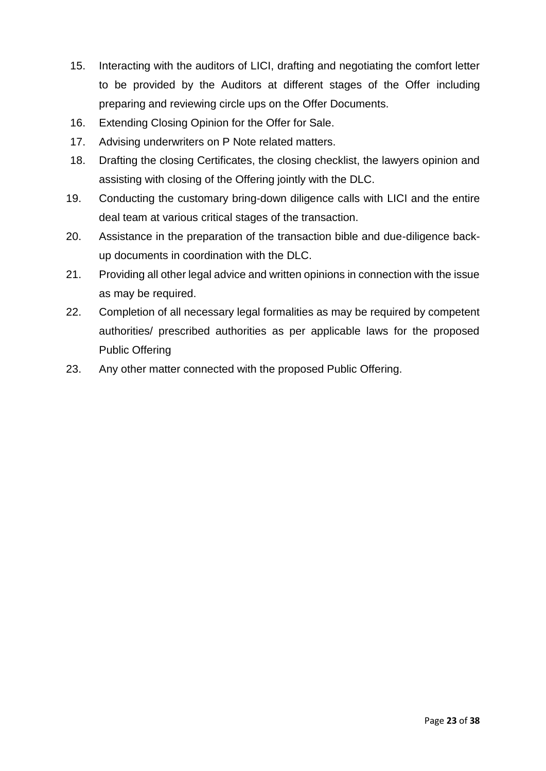- 15. Interacting with the auditors of LICI, drafting and negotiating the comfort letter to be provided by the Auditors at different stages of the Offer including preparing and reviewing circle ups on the Offer Documents.
- 16. Extending Closing Opinion for the Offer for Sale.
- 17. Advising underwriters on P Note related matters.
- 18. Drafting the closing Certificates, the closing checklist, the lawyers opinion and assisting with closing of the Offering jointly with the DLC.
- 19. Conducting the customary bring-down diligence calls with LICI and the entire deal team at various critical stages of the transaction.
- 20. Assistance in the preparation of the transaction bible and due-diligence backup documents in coordination with the DLC.
- 21. Providing all other legal advice and written opinions in connection with the issue as may be required.
- 22. Completion of all necessary legal formalities as may be required by competent authorities/ prescribed authorities as per applicable laws for the proposed Public Offering
- 23. Any other matter connected with the proposed Public Offering.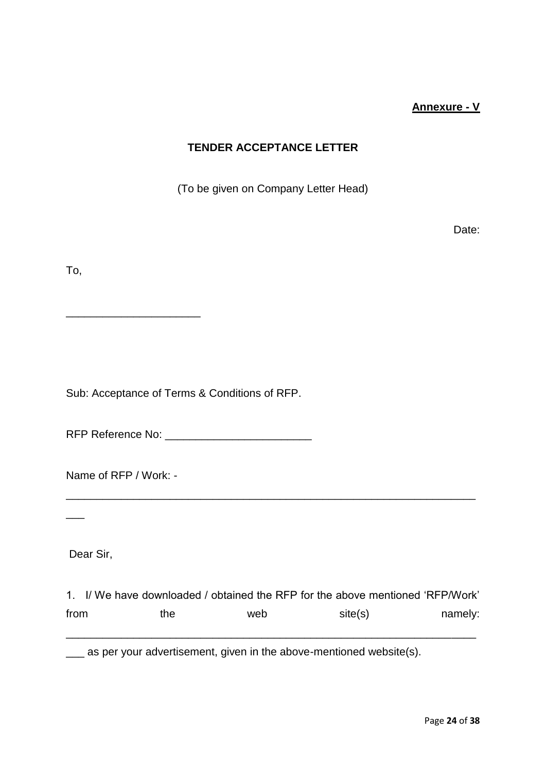#### **Annexure - V**

### **TENDER ACCEPTANCE LETTER**

(To be given on Company Letter Head)

Date:

To,

Sub: Acceptance of Terms & Conditions of RFP.

RFP Reference No: \_\_\_\_\_\_\_\_\_\_\_\_\_\_\_\_\_\_\_\_\_\_\_\_

Name of RFP / Work: -

\_\_\_\_\_\_\_\_\_\_\_\_\_\_\_\_\_\_\_\_\_\_

 $\overline{\phantom{a}}$ 

Dear Sir,

1. I/ We have downloaded / obtained the RFP for the above mentioned 'RFP/Work' from the web site(s) namely: \_\_\_\_\_\_\_\_\_\_\_\_\_\_\_\_\_\_\_\_\_\_\_\_\_\_\_\_\_\_\_\_\_\_\_\_\_\_\_\_\_\_\_\_\_\_\_\_\_\_\_\_\_\_\_\_\_\_\_\_\_\_\_\_\_\_\_

\_\_\_\_\_\_\_\_\_\_\_\_\_\_\_\_\_\_\_\_\_\_\_\_\_\_\_\_\_\_\_\_\_\_\_\_\_\_\_\_\_\_\_\_\_\_\_\_\_\_\_\_\_\_\_\_\_\_\_\_\_\_\_\_\_\_\_

\_\_\_ as per your advertisement, given in the above-mentioned website(s).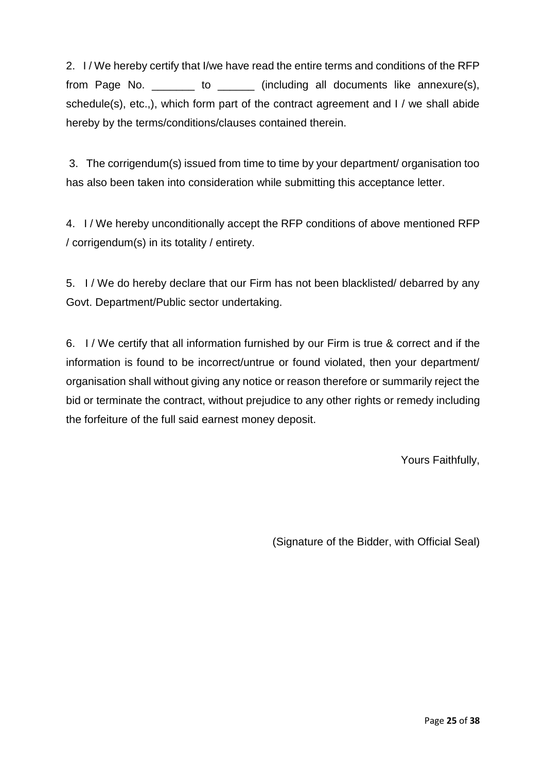2. I / We hereby certify that I/we have read the entire terms and conditions of the RFP from Page No. \_\_\_\_\_\_\_ to \_\_\_\_\_\_ (including all documents like annexure(s), schedule(s), etc.,), which form part of the contract agreement and I / we shall abide hereby by the terms/conditions/clauses contained therein.

3. The corrigendum(s) issued from time to time by your department/ organisation too has also been taken into consideration while submitting this acceptance letter.

4. I / We hereby unconditionally accept the RFP conditions of above mentioned RFP / corrigendum(s) in its totality / entirety.

5. I / We do hereby declare that our Firm has not been blacklisted/ debarred by any Govt. Department/Public sector undertaking.

6. I / We certify that all information furnished by our Firm is true & correct and if the information is found to be incorrect/untrue or found violated, then your department/ organisation shall without giving any notice or reason therefore or summarily reject the bid or terminate the contract, without prejudice to any other rights or remedy including the forfeiture of the full said earnest money deposit.

Yours Faithfully,

(Signature of the Bidder, with Official Seal)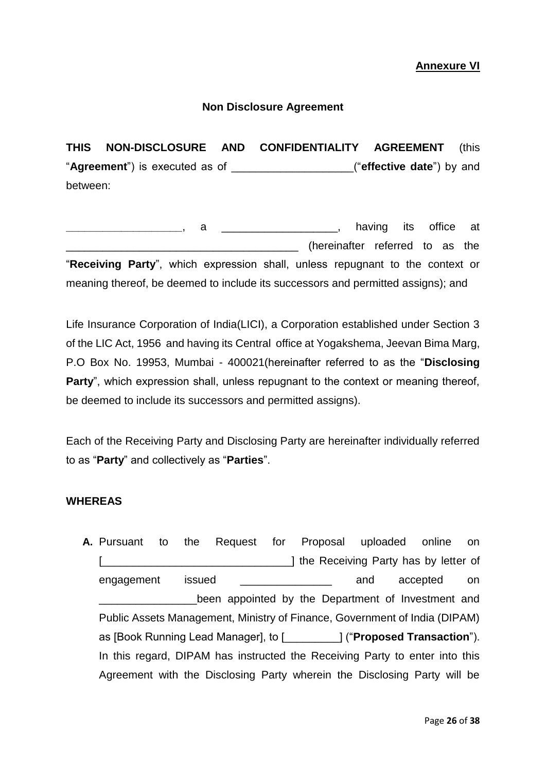#### **Annexure VI**

#### **Non Disclosure Agreement**

**THIS NON-DISCLOSURE AND CONFIDENTIALITY AGREEMENT** (this "**Agreement**") is executed as of \_\_\_\_\_\_\_\_\_\_\_\_\_\_\_\_\_\_\_\_("**effective date**") by and between:

a \_\_\_\_\_\_\_\_\_\_\_\_\_\_\_\_\_\_\_\_, having its office at (hereinafter referred to as the "**Receiving Party**", which expression shall, unless repugnant to the context or meaning thereof, be deemed to include its successors and permitted assigns); and

Life Insurance Corporation of India(LICI), a Corporation established under Section 3 of the LIC Act, 1956 and having its Central office at Yogakshema, Jeevan Bima Marg, P.O Box No. 19953, Mumbai - 400021(hereinafter referred to as the "**Disclosing Party**", which expression shall, unless repugnant to the context or meaning thereof, be deemed to include its successors and permitted assigns).

Each of the Receiving Party and Disclosing Party are hereinafter individually referred to as "**Party**" and collectively as "**Parties**".

#### **WHEREAS**

**A.** Pursuant to the Request for Proposal uploaded online on [\_\_\_\_\_\_\_\_\_\_\_\_\_\_\_\_\_\_\_\_\_\_\_\_\_\_\_\_\_\_\_] the Receiving Party has by letter of engagement issued and accepted on been appointed by the Department of Investment and Public Assets Management, Ministry of Finance, Government of India (DIPAM) as [Book Running Lead Manager], to [\_\_\_\_\_\_\_\_\_] ("**Proposed Transaction**"). In this regard, DIPAM has instructed the Receiving Party to enter into this Agreement with the Disclosing Party wherein the Disclosing Party will be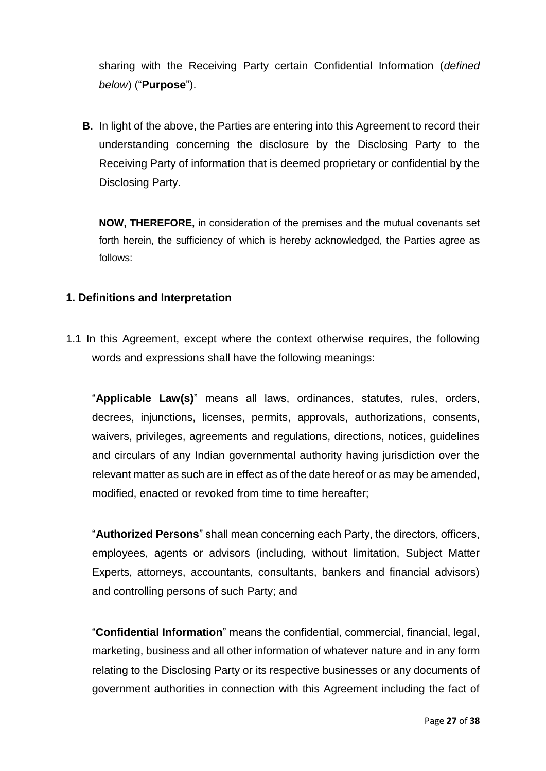sharing with the Receiving Party certain Confidential Information (*defined below*) ("**Purpose**").

**B.** In light of the above, the Parties are entering into this Agreement to record their understanding concerning the disclosure by the Disclosing Party to the Receiving Party of information that is deemed proprietary or confidential by the Disclosing Party.

**NOW, THEREFORE,** in consideration of the premises and the mutual covenants set forth herein, the sufficiency of which is hereby acknowledged, the Parties agree as follows:

#### **1. Definitions and Interpretation**

1.1 In this Agreement, except where the context otherwise requires, the following words and expressions shall have the following meanings:

"**Applicable Law(s)**" means all laws, ordinances, statutes, rules, orders, decrees, injunctions, licenses, permits, approvals, authorizations, consents, waivers, privileges, agreements and regulations, directions, notices, guidelines and circulars of any Indian governmental authority having jurisdiction over the relevant matter as such are in effect as of the date hereof or as may be amended, modified, enacted or revoked from time to time hereafter;

"**Authorized Persons**" shall mean concerning each Party, the directors, officers, employees, agents or advisors (including, without limitation, Subject Matter Experts, attorneys, accountants, consultants, bankers and financial advisors) and controlling persons of such Party; and

"**Confidential Information**" means the confidential, commercial, financial, legal, marketing, business and all other information of whatever nature and in any form relating to the Disclosing Party or its respective businesses or any documents of government authorities in connection with this Agreement including the fact of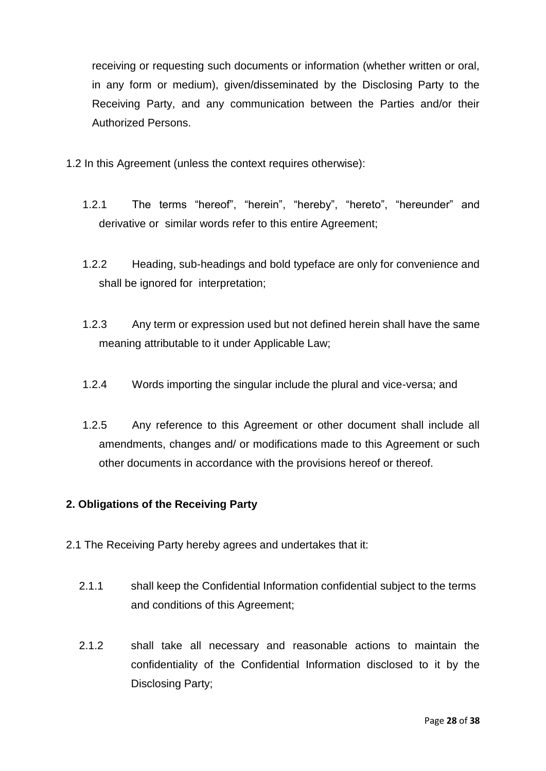receiving or requesting such documents or information (whether written or oral, in any form or medium), given/disseminated by the Disclosing Party to the Receiving Party, and any communication between the Parties and/or their Authorized Persons.

- 1.2 In this Agreement (unless the context requires otherwise):
	- 1.2.1 The terms "hereof", "herein", "hereby", "hereto", "hereunder" and derivative or similar words refer to this entire Agreement;
	- 1.2.2 Heading, sub-headings and bold typeface are only for convenience and shall be ignored for interpretation;
	- 1.2.3 Any term or expression used but not defined herein shall have the same meaning attributable to it under Applicable Law;
	- 1.2.4 Words importing the singular include the plural and vice-versa; and
	- 1.2.5 Any reference to this Agreement or other document shall include all amendments, changes and/ or modifications made to this Agreement or such other documents in accordance with the provisions hereof or thereof.

## **2. Obligations of the Receiving Party**

- 2.1 The Receiving Party hereby agrees and undertakes that it:
	- 2.1.1 shall keep the Confidential Information confidential subject to the terms and conditions of this Agreement;
	- 2.1.2 shall take all necessary and reasonable actions to maintain the confidentiality of the Confidential Information disclosed to it by the Disclosing Party;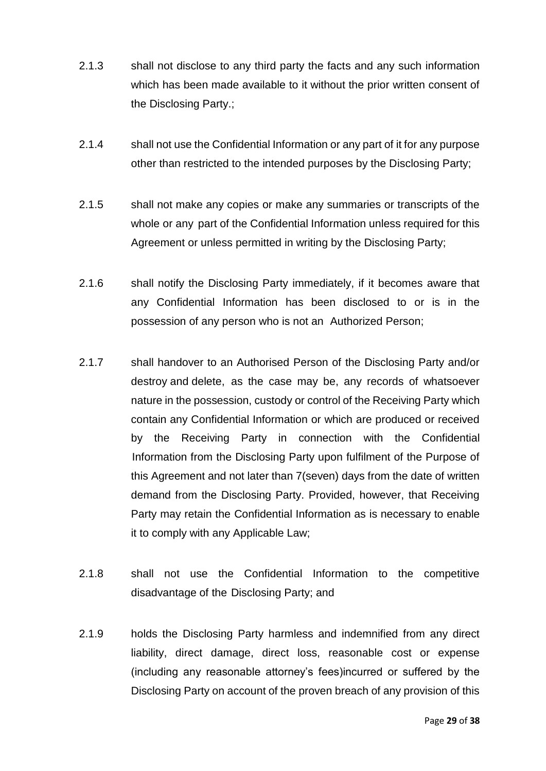- 2.1.3 shall not disclose to any third party the facts and any such information which has been made available to it without the prior written consent of the Disclosing Party.;
- 2.1.4 shall not use the Confidential Information or any part of it for any purpose other than restricted to the intended purposes by the Disclosing Party;
- 2.1.5 shall not make any copies or make any summaries or transcripts of the whole or any part of the Confidential Information unless required for this Agreement or unless permitted in writing by the Disclosing Party;
- 2.1.6 shall notify the Disclosing Party immediately, if it becomes aware that any Confidential Information has been disclosed to or is in the possession of any person who is not an Authorized Person;
- 2.1.7 shall handover to an Authorised Person of the Disclosing Party and/or destroy and delete, as the case may be, any records of whatsoever nature in the possession, custody or control of the Receiving Party which contain any Confidential Information or which are produced or received by the Receiving Party in connection with the Confidential Information from the Disclosing Party upon fulfilment of the Purpose of this Agreement and not later than 7(seven) days from the date of written demand from the Disclosing Party. Provided, however, that Receiving Party may retain the Confidential Information as is necessary to enable it to comply with any Applicable Law;
- 2.1.8 shall not use the Confidential Information to the competitive disadvantage of the Disclosing Party; and
- 2.1.9 holds the Disclosing Party harmless and indemnified from any direct liability, direct damage, direct loss, reasonable cost or expense (including any reasonable attorney's fees)incurred or suffered by the Disclosing Party on account of the proven breach of any provision of this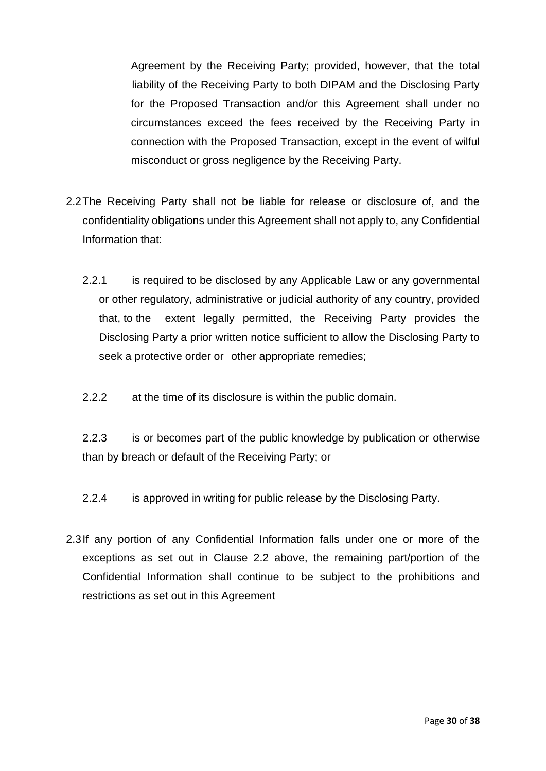Agreement by the Receiving Party; provided, however, that the total liability of the Receiving Party to both DIPAM and the Disclosing Party for the Proposed Transaction and/or this Agreement shall under no circumstances exceed the fees received by the Receiving Party in connection with the Proposed Transaction, except in the event of wilful misconduct or gross negligence by the Receiving Party.

- 2.2The Receiving Party shall not be liable for release or disclosure of, and the confidentiality obligations under this Agreement shall not apply to, any Confidential Information that:
	- 2.2.1 is required to be disclosed by any Applicable Law or any governmental or other regulatory, administrative or judicial authority of any country, provided that, to the extent legally permitted, the Receiving Party provides the Disclosing Party a prior written notice sufficient to allow the Disclosing Party to seek a protective order or other appropriate remedies;
	- 2.2.2 at the time of its disclosure is within the public domain.

2.2.3 is or becomes part of the public knowledge by publication or otherwise than by breach or default of the Receiving Party; or

- 2.2.4 is approved in writing for public release by the Disclosing Party.
- 2.3If any portion of any Confidential Information falls under one or more of the exceptions as set out in Clause 2.2 above, the remaining part/portion of the Confidential Information shall continue to be subject to the prohibitions and restrictions as set out in this Agreement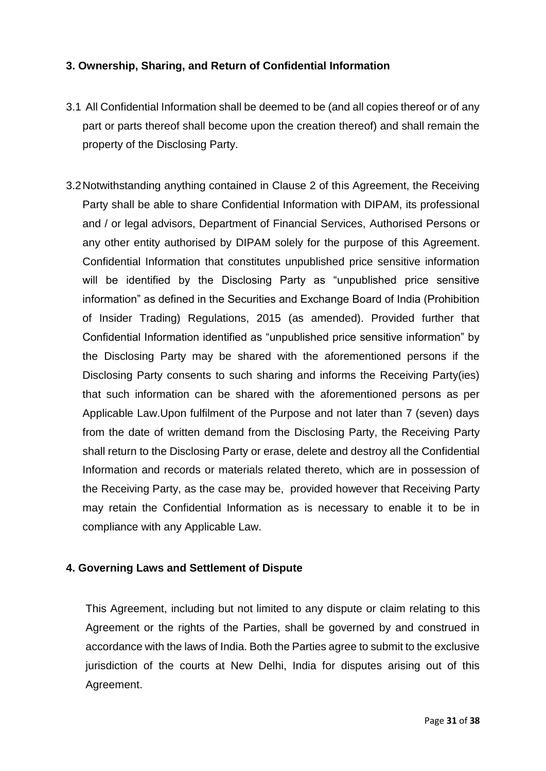## **3. Ownership, Sharing, and Return of Confidential Information**

- 3.1 All Confidential Information shall be deemed to be (and all copies thereof or of any part or parts thereof shall become upon the creation thereof) and shall remain the property of the Disclosing Party.
- 3.2Notwithstanding anything contained in Clause 2 of this Agreement, the Receiving Party shall be able to share Confidential Information with DIPAM, its professional and / or legal advisors, Department of Financial Services, Authorised Persons or any other entity authorised by DIPAM solely for the purpose of this Agreement. Confidential Information that constitutes unpublished price sensitive information will be identified by the Disclosing Party as "unpublished price sensitive information" as defined in the Securities and Exchange Board of India (Prohibition of Insider Trading) Regulations, 2015 (as amended). Provided further that Confidential Information identified as "unpublished price sensitive information" by the Disclosing Party may be shared with the aforementioned persons if the Disclosing Party consents to such sharing and informs the Receiving Party(ies) that such information can be shared with the aforementioned persons as per Applicable Law.Upon fulfilment of the Purpose and not later than 7 (seven) days from the date of written demand from the Disclosing Party, the Receiving Party shall return to the Disclosing Party or erase, delete and destroy all the Confidential Information and records or materials related thereto, which are in possession of the Receiving Party, as the case may be, provided however that Receiving Party may retain the Confidential Information as is necessary to enable it to be in compliance with any Applicable Law.

#### **4. Governing Laws and Settlement of Dispute**

This Agreement, including but not limited to any dispute or claim relating to this Agreement or the rights of the Parties, shall be governed by and construed in accordance with the laws of India. Both the Parties agree to submit to the exclusive jurisdiction of the courts at New Delhi, India for disputes arising out of this Agreement.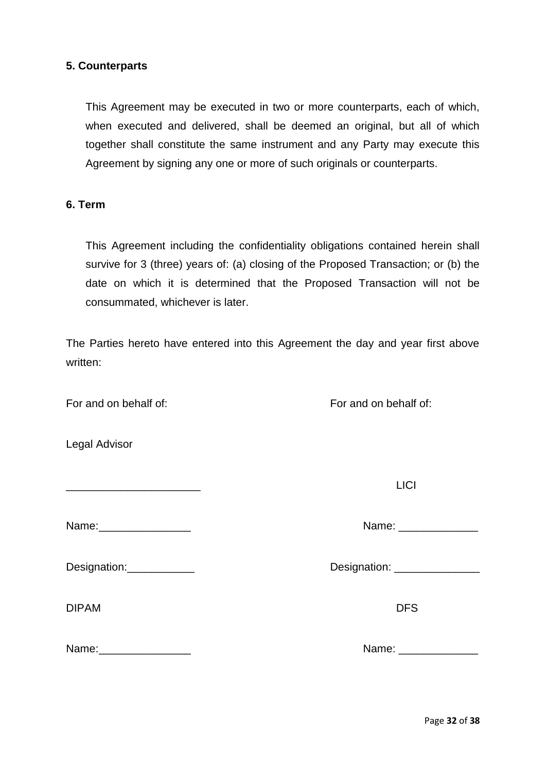#### **5. Counterparts**

This Agreement may be executed in two or more counterparts, each of which, when executed and delivered, shall be deemed an original, but all of which together shall constitute the same instrument and any Party may execute this Agreement by signing any one or more of such originals or counterparts.

#### **6. Term**

This Agreement including the confidentiality obligations contained herein shall survive for 3 (three) years of: (a) closing of the Proposed Transaction; or (b) the date on which it is determined that the Proposed Transaction will not be consummated, whichever is later.

The Parties hereto have entered into this Agreement the day and year first above written:

For and on behalf of: For and on behalf of:

Legal Advisor

Name:\_\_\_\_\_\_\_\_\_\_\_\_\_\_\_ Name: \_\_\_\_\_\_\_\_\_\_\_\_\_

DIPAM DFS

| Name: |
|-------|
|-------|

Designation: example of the contract of the Designation:  $\Box$ 

Name:\_\_\_\_\_\_\_\_\_\_\_\_\_\_\_ Name: \_\_\_\_\_\_\_\_\_\_\_\_\_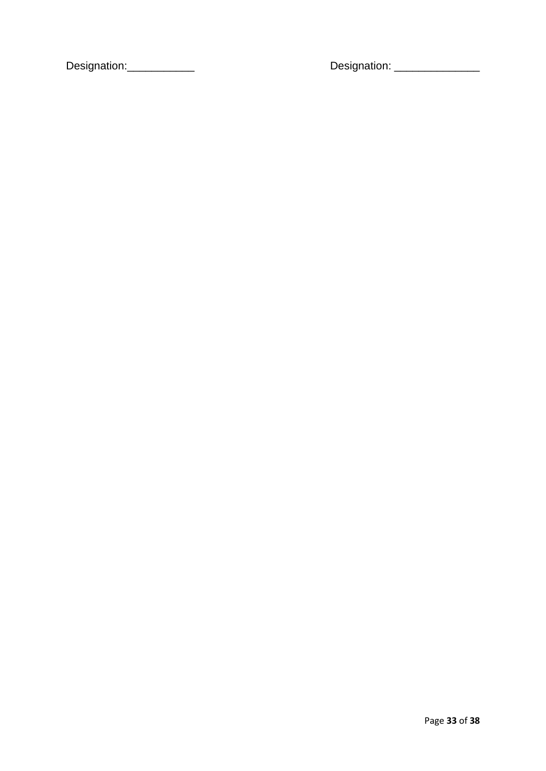Designation:\_\_\_\_\_\_\_\_\_\_\_ Designation: \_\_\_\_\_\_\_\_\_\_\_\_\_\_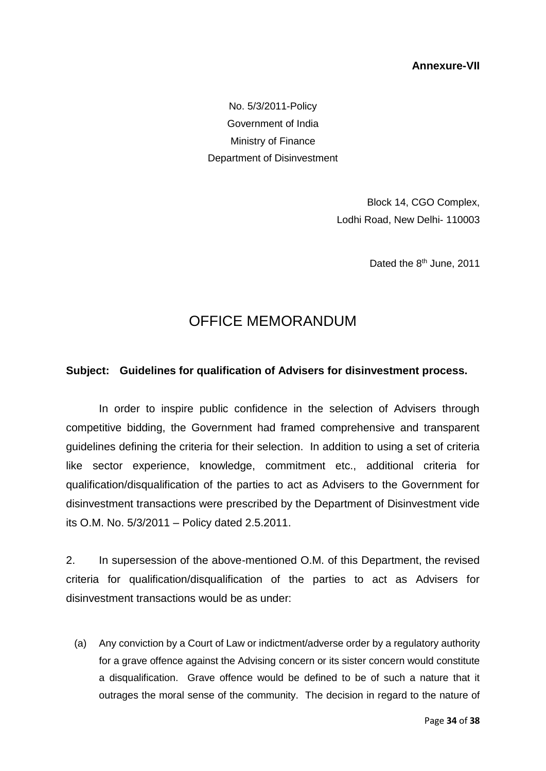No. 5/3/2011-Policy Government of India Ministry of Finance Department of Disinvestment

> Block 14, CGO Complex, Lodhi Road, New Delhi- 110003

> > Dated the 8<sup>th</sup> June, 2011

## OFFICE MEMORANDUM

#### **Subject: Guidelines for qualification of Advisers for disinvestment process.**

In order to inspire public confidence in the selection of Advisers through competitive bidding, the Government had framed comprehensive and transparent guidelines defining the criteria for their selection. In addition to using a set of criteria like sector experience, knowledge, commitment etc., additional criteria for qualification/disqualification of the parties to act as Advisers to the Government for disinvestment transactions were prescribed by the Department of Disinvestment vide its O.M. No. 5/3/2011 – Policy dated 2.5.2011.

2. In supersession of the above-mentioned O.M. of this Department, the revised criteria for qualification/disqualification of the parties to act as Advisers for disinvestment transactions would be as under:

(a) Any conviction by a Court of Law or indictment/adverse order by a regulatory authority for a grave offence against the Advising concern or its sister concern would constitute a disqualification. Grave offence would be defined to be of such a nature that it outrages the moral sense of the community. The decision in regard to the nature of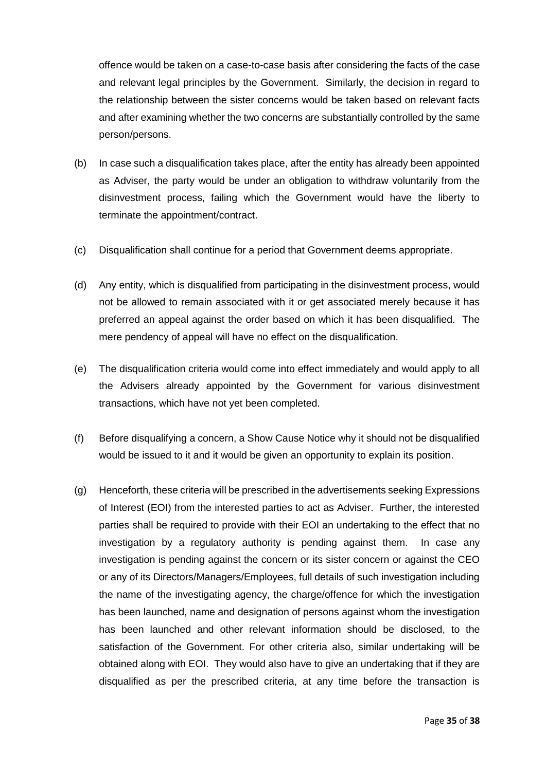offence would be taken on a case-to-case basis after considering the facts of the case and relevant legal principles by the Government. Similarly, the decision in regard to the relationship between the sister concerns would be taken based on relevant facts and after examining whether the two concerns are substantially controlled by the same person/persons.

- (b) In case such a disqualification takes place, after the entity has already been appointed as Adviser, the party would be under an obligation to withdraw voluntarily from the disinvestment process, failing which the Government would have the liberty to terminate the appointment/contract.
- (c) Disqualification shall continue for a period that Government deems appropriate.
- (d) Any entity, which is disqualified from participating in the disinvestment process, would not be allowed to remain associated with it or get associated merely because it has preferred an appeal against the order based on which it has been disqualified. The mere pendency of appeal will have no effect on the disqualification.
- (e) The disqualification criteria would come into effect immediately and would apply to all the Advisers already appointed by the Government for various disinvestment transactions, which have not yet been completed.
- (f) Before disqualifying a concern, a Show Cause Notice why it should not be disqualified would be issued to it and it would be given an opportunity to explain its position.
- (g) Henceforth, these criteria will be prescribed in the advertisements seeking Expressions of Interest (EOI) from the interested parties to act as Adviser. Further, the interested parties shall be required to provide with their EOI an undertaking to the effect that no investigation by a regulatory authority is pending against them. In case any investigation is pending against the concern or its sister concern or against the CEO or any of its Directors/Managers/Employees, full details of such investigation including the name of the investigating agency, the charge/offence for which the investigation has been launched, name and designation of persons against whom the investigation has been launched and other relevant information should be disclosed, to the satisfaction of the Government. For other criteria also, similar undertaking will be obtained along with EOI. They would also have to give an undertaking that if they are disqualified as per the prescribed criteria, at any time before the transaction is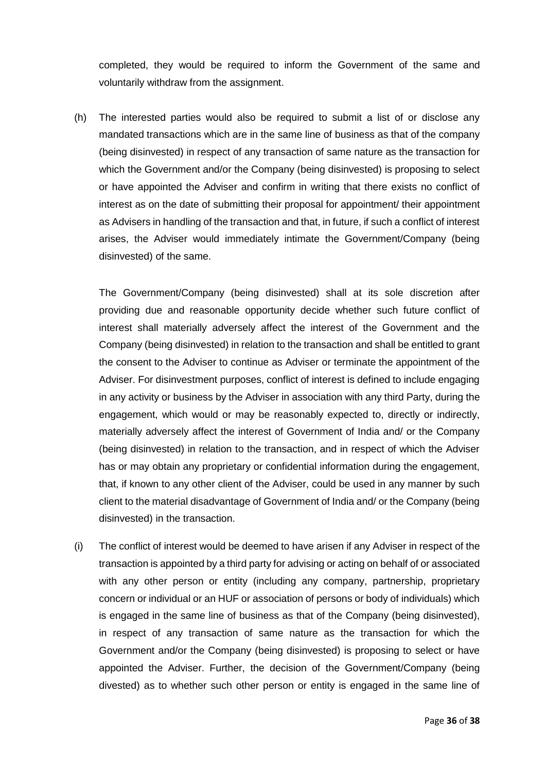completed, they would be required to inform the Government of the same and voluntarily withdraw from the assignment.

(h) The interested parties would also be required to submit a list of or disclose any mandated transactions which are in the same line of business as that of the company (being disinvested) in respect of any transaction of same nature as the transaction for which the Government and/or the Company (being disinvested) is proposing to select or have appointed the Adviser and confirm in writing that there exists no conflict of interest as on the date of submitting their proposal for appointment/ their appointment as Advisers in handling of the transaction and that, in future, if such a conflict of interest arises, the Adviser would immediately intimate the Government/Company (being disinvested) of the same.

The Government/Company (being disinvested) shall at its sole discretion after providing due and reasonable opportunity decide whether such future conflict of interest shall materially adversely affect the interest of the Government and the Company (being disinvested) in relation to the transaction and shall be entitled to grant the consent to the Adviser to continue as Adviser or terminate the appointment of the Adviser. For disinvestment purposes, conflict of interest is defined to include engaging in any activity or business by the Adviser in association with any third Party, during the engagement, which would or may be reasonably expected to, directly or indirectly, materially adversely affect the interest of Government of India and/ or the Company (being disinvested) in relation to the transaction, and in respect of which the Adviser has or may obtain any proprietary or confidential information during the engagement, that, if known to any other client of the Adviser, could be used in any manner by such client to the material disadvantage of Government of India and/ or the Company (being disinvested) in the transaction.

(i) The conflict of interest would be deemed to have arisen if any Adviser in respect of the transaction is appointed by a third party for advising or acting on behalf of or associated with any other person or entity (including any company, partnership, proprietary concern or individual or an HUF or association of persons or body of individuals) which is engaged in the same line of business as that of the Company (being disinvested), in respect of any transaction of same nature as the transaction for which the Government and/or the Company (being disinvested) is proposing to select or have appointed the Adviser. Further, the decision of the Government/Company (being divested) as to whether such other person or entity is engaged in the same line of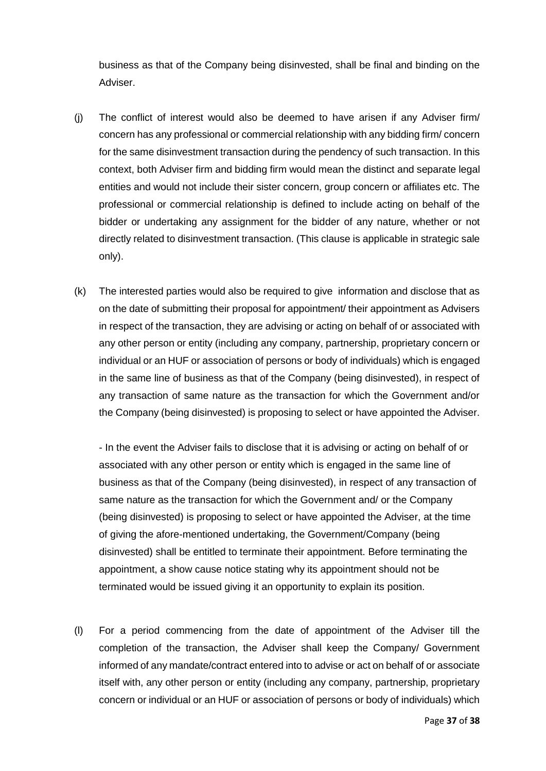business as that of the Company being disinvested, shall be final and binding on the Adviser.

- (j) The conflict of interest would also be deemed to have arisen if any Adviser firm/ concern has any professional or commercial relationship with any bidding firm/ concern for the same disinvestment transaction during the pendency of such transaction. In this context, both Adviser firm and bidding firm would mean the distinct and separate legal entities and would not include their sister concern, group concern or affiliates etc. The professional or commercial relationship is defined to include acting on behalf of the bidder or undertaking any assignment for the bidder of any nature, whether or not directly related to disinvestment transaction. (This clause is applicable in strategic sale only).
- (k) The interested parties would also be required to give information and disclose that as on the date of submitting their proposal for appointment/ their appointment as Advisers in respect of the transaction, they are advising or acting on behalf of or associated with any other person or entity (including any company, partnership, proprietary concern or individual or an HUF or association of persons or body of individuals) which is engaged in the same line of business as that of the Company (being disinvested), in respect of any transaction of same nature as the transaction for which the Government and/or the Company (being disinvested) is proposing to select or have appointed the Adviser.

- In the event the Adviser fails to disclose that it is advising or acting on behalf of or associated with any other person or entity which is engaged in the same line of business as that of the Company (being disinvested), in respect of any transaction of same nature as the transaction for which the Government and/ or the Company (being disinvested) is proposing to select or have appointed the Adviser, at the time of giving the afore-mentioned undertaking, the Government/Company (being disinvested) shall be entitled to terminate their appointment. Before terminating the appointment, a show cause notice stating why its appointment should not be terminated would be issued giving it an opportunity to explain its position.

(l) For a period commencing from the date of appointment of the Adviser till the completion of the transaction, the Adviser shall keep the Company/ Government informed of any mandate/contract entered into to advise or act on behalf of or associate itself with, any other person or entity (including any company, partnership, proprietary concern or individual or an HUF or association of persons or body of individuals) which